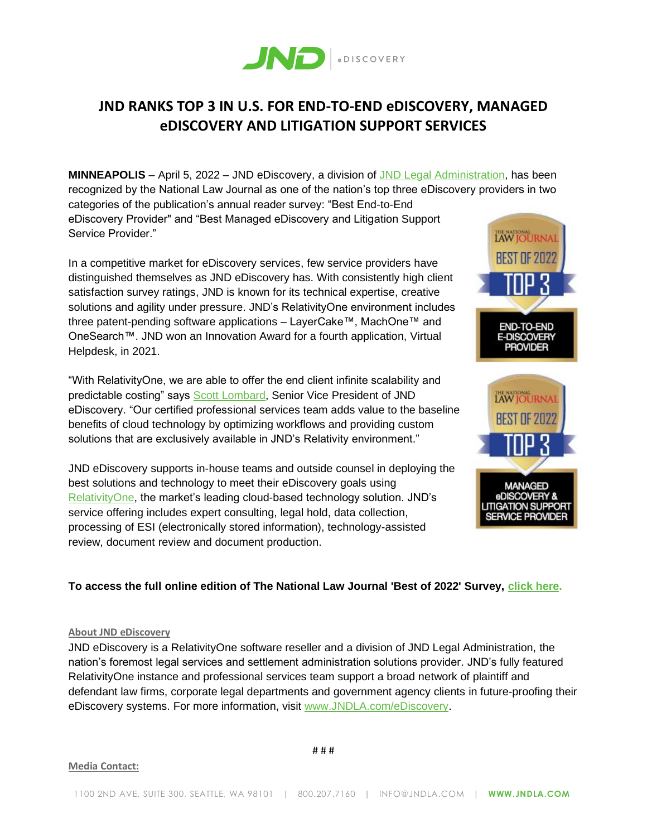

## **JND RANKS TOP 3 IN U.S. FOR END-TO-END eDISCOVERY, MANAGED eDISCOVERY AND LITIGATION SUPPORT SERVICES**

**MINNEAPOLIS** – April 5, 2022 – JND eDiscovery, a division of [JND Legal Administration,](https://www.jndla.com/) has been recognized by the National Law Journal as one of the nation's top three eDiscovery providers in two categories of the publication's annual reader survey: "Best End-to-End eDiscovery Provider" and "Best Managed eDiscovery and Litigation Support Service Provider."

In a competitive market for eDiscovery services, few service providers have distinguished themselves as JND eDiscovery has. With consistently high client satisfaction survey ratings, JND is known for its technical expertise, creative solutions and agility under pressure. JND's RelativityOne environment includes three patent-pending software applications – LayerCake™, MachOne™ and OneSearch™. JND won an Innovation Award for a fourth application, Virtual Helpdesk, in 2021.

"With RelativityOne, we are able to offer the end client infinite scalability and predictable costing" says [Scott Lombard,](https://www.jndla.com/about-us/scott-lombard) Senior Vice President of JND eDiscovery. "Our certified professional services team adds value to the baseline benefits of cloud technology by optimizing workflows and providing custom solutions that are exclusively available in JND's Relativity environment."

JND eDiscovery supports in-house teams and outside counsel in deploying the best solutions and technology to meet their eDiscovery goals using [RelativityOne,](https://relativity.com/ediscovery-software/relativityone/) the market's leading cloud-based technology solution. JND's service offering includes expert consulting, legal hold, data collection, processing of ESI (electronically stored information), technology-assisted review, document review and document production.



## **To access the full online edition of The National Law Journal 'Best of 2022' Survey, [click here.](https://images.law.com/media/nationallawjournal/supplements/Best_NLJ_2022/index.html)**

## **About JND eDiscovery**

JND eDiscovery is a RelativityOne software reseller and a division of JND Legal Administration, the nation's foremost legal services and settlement administration solutions provider. JND's fully featured RelativityOne instance and professional services team support a broad network of plaintiff and defendant law firms, corporate legal departments and government agency clients in future-proofing their eDiscovery systems. For more information, visit [www.JNDLA.com/eDiscovery.](https://www.jndla.com/ediscovery)

## **Media Contact:**

# # #